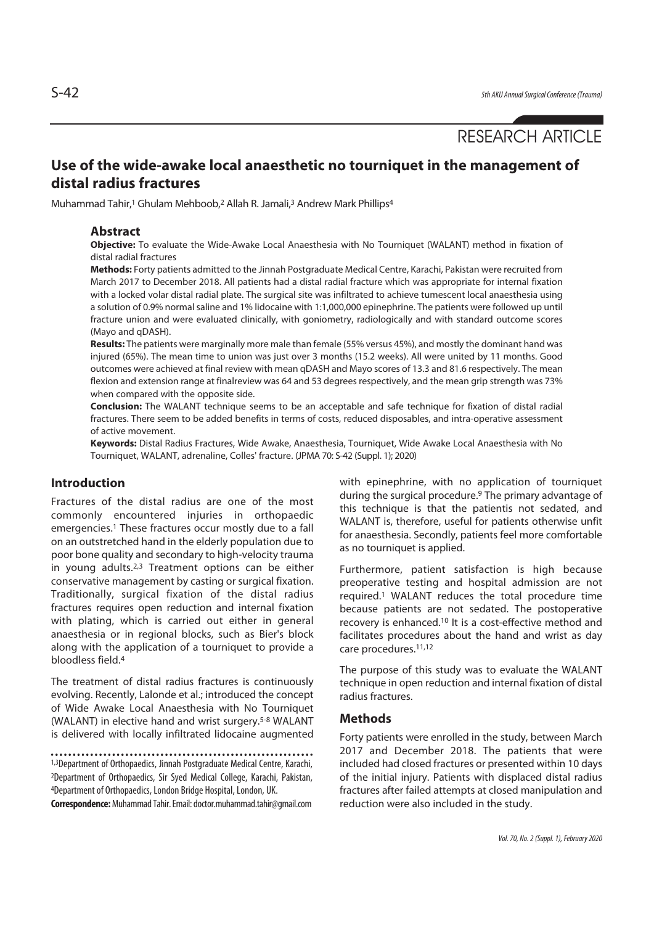# RESEARCH ARTICLE

## **Use of the wide-awake local anaesthetic no tourniquet in the management of distal radius fractures**

Muhammad Tahir,<sup>1</sup> Ghulam Mehboob,<sup>2</sup> Allah R. Jamali,<sup>3</sup> Andrew Mark Phillips<sup>4</sup>

#### **Abstract**

**Objective:** To evaluate the Wide-Awake Local Anaesthesia with No Tourniquet (WALANT) method in fixation of distal radial fractures

**Methods:** Forty patients admitted to the Jinnah Postgraduate Medical Centre, Karachi, Pakistan were recruited from March 2017 to December 2018. All patients had a distal radial fracture which was appropriate for internal fixation with a locked volar distal radial plate. The surgical site was infiltrated to achieve tumescent local anaesthesia using a solution of 0.9% normal saline and 1% lidocaine with 1:1,000,000 epinephrine. The patients were followed up until fracture union and were evaluated clinically, with goniometry, radiologically and with standard outcome scores (Mayo and qDASH).

**Results:** The patients were marginally more male than female (55% versus 45%), and mostly the dominant hand was injured (65%). The mean time to union was just over 3 months (15.2 weeks). All were united by 11 months. Good outcomes were achieved at final review with mean qDASH and Mayo scores of 13.3 and 81.6 respectively. The mean flexion and extension range at finalreview was 64 and 53 degrees respectively, and the mean grip strength was 73% when compared with the opposite side.

**Conclusion:** The WALANT technique seems to be an acceptable and safe technique for fixation of distal radial fractures. There seem to be added benefits in terms of costs, reduced disposables, and intra-operative assessment of active movement.

**Keywords:** Distal Radius Fractures, Wide Awake, Anaesthesia, Tourniquet, Wide Awake Local Anaesthesia with No Tourniquet, WALANT, adrenaline, Colles' fracture. (JPMA 70: S-42 (Suppl. 1); 2020)

#### **Introduction**

Fractures of the distal radius are one of the most commonly encountered injuries in orthopaedic emergencies.1 These fractures occur mostly due to a fall on an outstretched hand in the elderly population due to poor bone quality and secondary to high-velocity trauma in young adults.2,3 Treatment options can be either conservative management by casting or surgical fixation. Traditionally, surgical fixation of the distal radius fractures requires open reduction and internal fixation with plating, which is carried out either in general anaesthesia or in regional blocks, such as Bier's block along with the application of a tourniquet to provide a bloodless field.4

The treatment of distal radius fractures is continuously evolving. Recently, Lalonde et al.; introduced the concept of Wide Awake Local Anaesthesia with No Tourniquet (WALANT) in elective hand and wrist surgery.5-8 WALANT is delivered with locally infiltrated lidocaine augmented

1,3Department of Orthopaedics, Jinnah Postgraduate Medical Centre, Karachi, 2Department of Orthopaedics, Sir Syed Medical College, Karachi, Pakistan, 4Department of Orthopaedics, London Bridge Hospital, London, UK.

**Correspondence:** Muhammad Tahir. Email: doctor.muhammad.tahir@gmail.com

with epinephrine, with no application of tourniquet during the surgical procedure.9 The primary advantage of this technique is that the patientis not sedated, and WALANT is, therefore, useful for patients otherwise unfit for anaesthesia. Secondly, patients feel more comfortable as no tourniquet is applied.

Furthermore, patient satisfaction is high because preoperative testing and hospital admission are not required.1 WALANT reduces the total procedure time because patients are not sedated. The postoperative recovery is enhanced.10 It is a cost-effective method and facilitates procedures about the hand and wrist as day care procedures.11,12

The purpose of this study was to evaluate the WALANT technique in open reduction and internal fixation of distal radius fractures.

#### **Methods**

Forty patients were enrolled in the study, between March 2017 and December 2018. The patients that were included had closed fractures or presented within 10 days of the initial injury. Patients with displaced distal radius fractures after failed attempts at closed manipulation and reduction were also included in the study.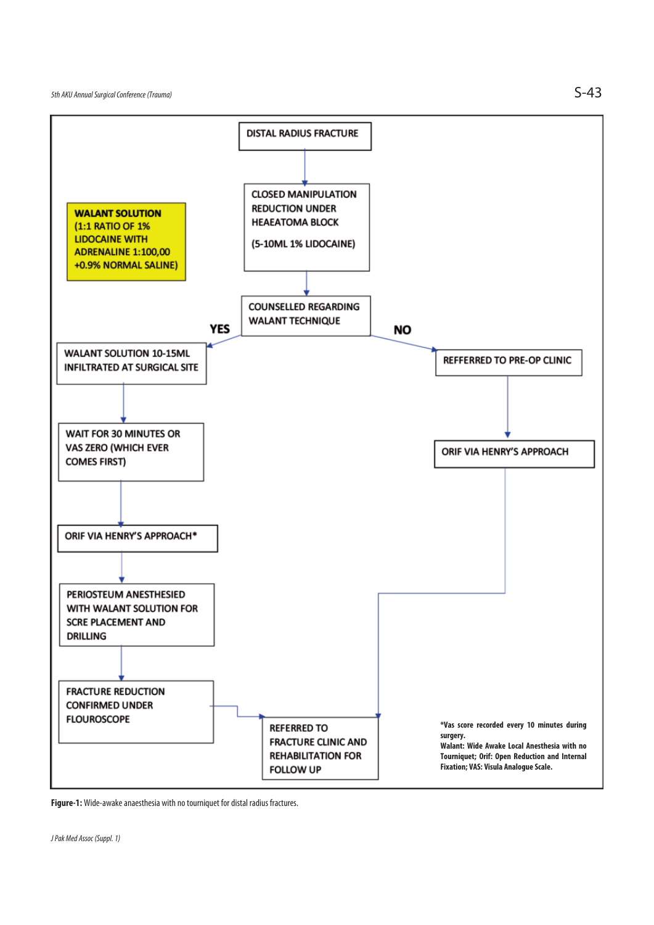

**Figure-1:** Wide-awake anaesthesia with no tourniquet for distal radius fractures.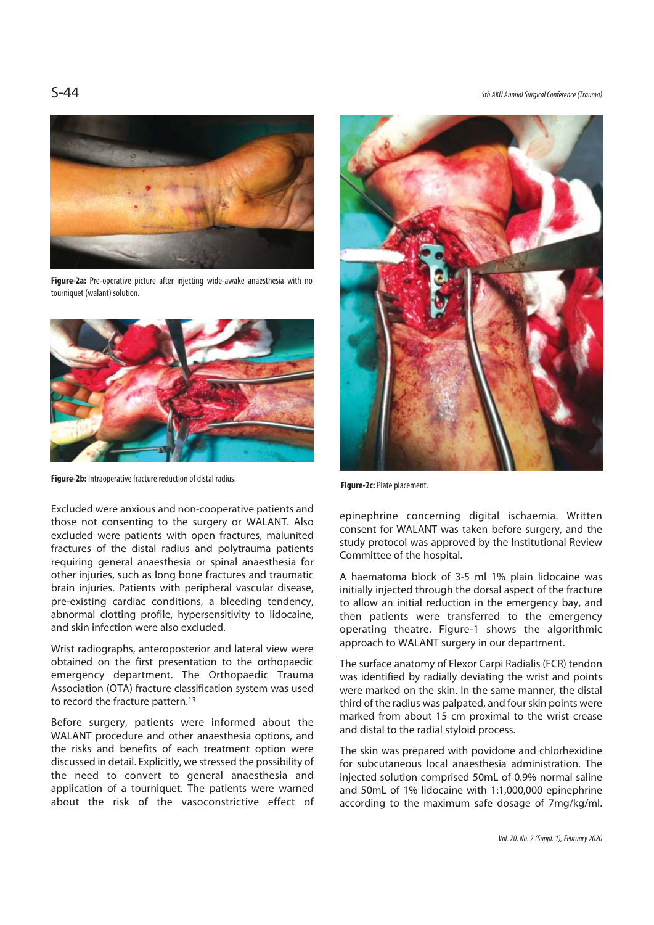S-44 5th AKU Annual Surgical Conference (Trauma)



**Figure-2a:** Pre-operative picture after injecting wide-awake anaesthesia with no tourniquet (walant) solution.



**Figure-2b:** Intraoperative fracture reduction of distal radius. **Figure-2c:** Plate placement.

Excluded were anxious and non-cooperative patients and those not consenting to the surgery or WALANT. Also excluded were patients with open fractures, malunited fractures of the distal radius and polytrauma patients requiring general anaesthesia or spinal anaesthesia for other injuries, such as long bone fractures and traumatic brain injuries. Patients with peripheral vascular disease, pre-existing cardiac conditions, a bleeding tendency, abnormal clotting profile, hypersensitivity to lidocaine, and skin infection were also excluded.

Wrist radiographs, anteroposterior and lateral view were obtained on the first presentation to the orthopaedic emergency department. The Orthopaedic Trauma Association (OTA) fracture classification system was used to record the fracture pattern.13

Before surgery, patients were informed about the WALANT procedure and other anaesthesia options, and the risks and benefits of each treatment option were discussed in detail. Explicitly, we stressed the possibility of the need to convert to general anaesthesia and application of a tourniquet. The patients were warned about the risk of the vasoconstrictive effect of



epinephrine concerning digital ischaemia. Written consent for WALANT was taken before surgery, and the study protocol was approved by the Institutional Review Committee of the hospital.

A haematoma block of 3-5 ml 1% plain lidocaine was initially injected through the dorsal aspect of the fracture to allow an initial reduction in the emergency bay, and then patients were transferred to the emergency operating theatre. Figure-1 shows the algorithmic approach to WALANT surgery in our department.

The surface anatomy of Flexor Carpi Radialis (FCR) tendon was identified by radially deviating the wrist and points were marked on the skin. In the same manner, the distal third of the radius was palpated, and four skin points were marked from about 15 cm proximal to the wrist crease and distal to the radial styloid process.

The skin was prepared with povidone and chlorhexidine for subcutaneous local anaesthesia administration. The injected solution comprised 50mL of 0.9% normal saline and 50mL of 1% lidocaine with 1:1,000,000 epinephrine according to the maximum safe dosage of 7mg/kg/ml.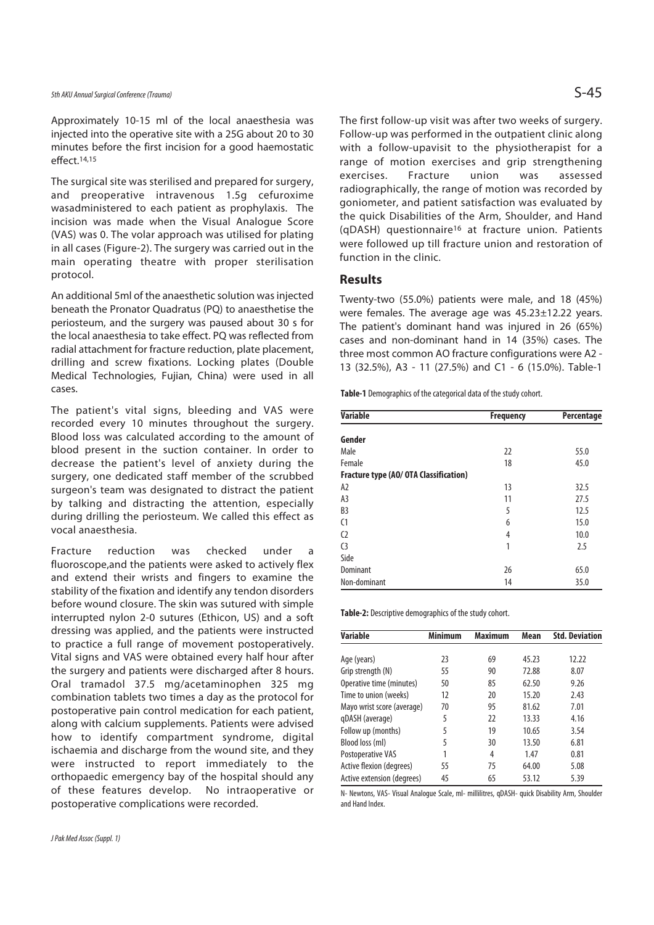Approximately 10-15 ml of the local anaesthesia was injected into the operative site with a 25G about 20 to 30 minutes before the first incision for a good haemostatic effect.14,15

The surgical site was sterilised and prepared for surgery, and preoperative intravenous 1.5g cefuroxime wasadministered to each patient as prophylaxis. The incision was made when the Visual Analogue Score (VAS) was 0. The volar approach was utilised for plating in all cases (Figure-2). The surgery was carried out in the main operating theatre with proper sterilisation protocol.

An additional 5ml of the anaesthetic solution was injected beneath the Pronator Quadratus (PQ) to anaesthetise the periosteum, and the surgery was paused about 30 s for the local anaesthesia to take effect. PQ was reflected from radial attachment for fracture reduction, plate placement, drilling and screw fixations. Locking plates (Double Medical Technologies, Fujian, China) were used in all cases.

The patient's vital signs, bleeding and VAS were recorded every 10 minutes throughout the surgery. Blood loss was calculated according to the amount of blood present in the suction container. In order to decrease the patient's level of anxiety during the surgery, one dedicated staff member of the scrubbed surgeon's team was designated to distract the patient by talking and distracting the attention, especially during drilling the periosteum. We called this effect as vocal anaesthesia.

Fracture reduction was checked under a fluoroscope,and the patients were asked to actively flex and extend their wrists and fingers to examine the stability of the fixation and identify any tendon disorders before wound closure. The skin was sutured with simple interrupted nylon 2-0 sutures (Ethicon, US) and a soft dressing was applied, and the patients were instructed to practice a full range of movement postoperatively. Vital signs and VAS were obtained every half hour after the surgery and patients were discharged after 8 hours. Oral tramadol 37.5 mg/acetaminophen 325 mg combination tablets two times a day as the protocol for postoperative pain control medication for each patient, along with calcium supplements. Patients were advised how to identify compartment syndrome, digital ischaemia and discharge from the wound site, and they were instructed to report immediately to the orthopaedic emergency bay of the hospital should any of these features develop. No intraoperative or postoperative complications were recorded.

The first follow-up visit was after two weeks of surgery. Follow-up was performed in the outpatient clinic along with a follow-upavisit to the physiotherapist for a range of motion exercises and grip strengthening exercises. Fracture union was assessed radiographically, the range of motion was recorded by goniometer, and patient satisfaction was evaluated by the quick Disabilities of the Arm, Shoulder, and Hand (qDASH) questionnaire16 at fracture union. Patients were followed up till fracture union and restoration of function in the clinic.

#### **Results**

Twenty-two (55.0%) patients were male, and 18 (45%) were females. The average age was 45.23±12.22 years. The patient's dominant hand was injured in 26 (65%) cases and non-dominant hand in 14 (35%) cases. The three most common AO fracture configurations were A2 - 13 (32.5%), A3 - 11 (27.5%) and C1 - 6 (15.0%). Table-1

**Table-1** Demographics of the categorical data of the study cohort.

| <b>Variable</b>                        | <b>Frequency</b> |      |
|----------------------------------------|------------------|------|
| Gender                                 |                  |      |
| Male                                   | 22               | 55.0 |
| Female                                 | 18               | 45.0 |
| Fracture type (AO/ OTA Classification) |                  |      |
| A <sub>2</sub>                         | 13               | 32.5 |
| A3                                     | 11               | 27.5 |
| B <sub>3</sub>                         | 5                | 12.5 |
| C <sub>1</sub>                         | 6                | 15.0 |
| C <sub>2</sub>                         | 4                | 10.0 |
| C <sub>3</sub>                         | 1                | 2.5  |
| Side                                   |                  |      |
| Dominant                               | 26               | 65.0 |
| Non-dominant                           | 14               | 35.0 |

**Table-2:** Descriptive demographics of the study cohort.

| <b>Variable</b>            | <b>Minimum</b> | <b>Maximum</b> | Mean  | <b>Std. Deviation</b> |
|----------------------------|----------------|----------------|-------|-----------------------|
|                            |                |                |       |                       |
| Age (years)                | 23             | 69             | 45.23 | 12.22                 |
| Grip strength (N)          | 55             | 90             | 72.88 | 8.07                  |
| Operative time (minutes)   | 50             | 85             | 62.50 | 9.26                  |
| Time to union (weeks)      | 12             | 20             | 15.20 | 2.43                  |
| Mayo wrist score (average) | 70             | 95             | 81.62 | 7.01                  |
| qDASH (average)            | 5              | 22             | 13.33 | 4.16                  |
| Follow up (months)         | 5              | 19             | 10.65 | 3.54                  |
| Blood loss (ml)            | 5              | 30             | 13.50 | 6.81                  |
| Postoperative VAS          |                | 4              | 1.47  | 0.81                  |
| Active flexion (degrees)   | 55             | 75             | 64.00 | 5.08                  |
| Active extension (degrees) | 45             | 65             | 53.12 | 5.39                  |

N- Newtons, VAS- Visual Analogue Scale, ml- millilitres, qDASH- quick Disability Arm, Shoulder and Hand Index.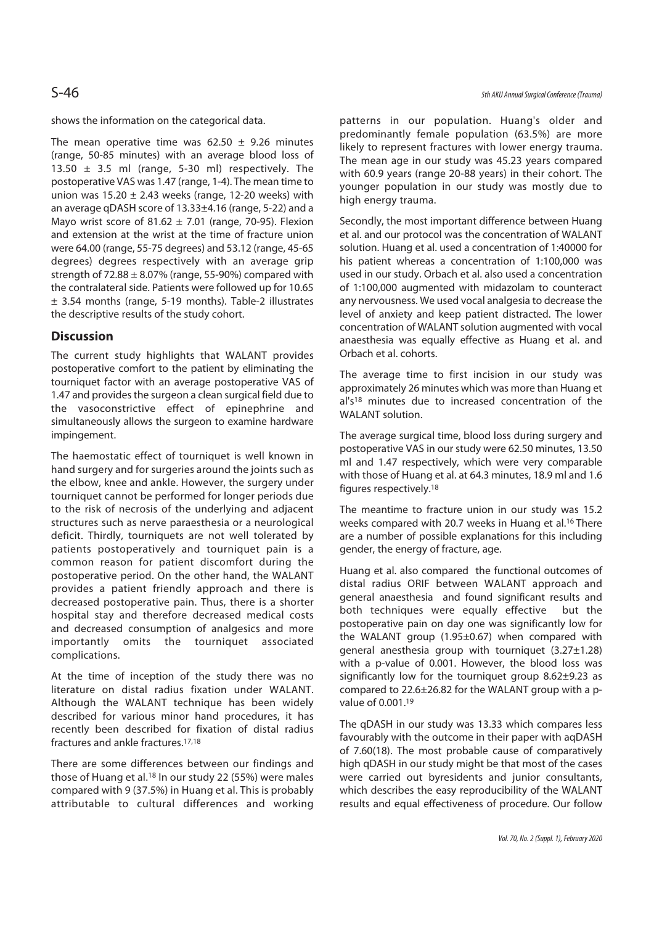shows the information on the categorical data.

The mean operative time was  $62.50 \pm 9.26$  minutes (range, 50-85 minutes) with an average blood loss of 13.50  $\pm$  3.5 ml (range, 5-30 ml) respectively. The postoperative VAS was 1.47 (range, 1-4). The mean time to union was  $15.20 \pm 2.43$  weeks (range, 12-20 weeks) with an average qDASH score of 13.33±4.16 (range, 5-22) and a Mayo wrist score of  $81.62 \pm 7.01$  (range, 70-95). Flexion and extension at the wrist at the time of fracture union were 64.00 (range, 55-75 degrees) and 53.12 (range, 45-65 degrees) degrees respectively with an average grip strength of  $72.88 \pm 8.07\%$  (range, 55-90%) compared with the contralateral side. Patients were followed up for 10.65 ± 3.54 months (range, 5-19 months). Table-2 illustrates the descriptive results of the study cohort.

### **Discussion**

The current study highlights that WALANT provides postoperative comfort to the patient by eliminating the tourniquet factor with an average postoperative VAS of 1.47 and provides the surgeon a clean surgical field due to the vasoconstrictive effect of epinephrine and simultaneously allows the surgeon to examine hardware impingement.

The haemostatic effect of tourniquet is well known in hand surgery and for surgeries around the joints such as the elbow, knee and ankle. However, the surgery under tourniquet cannot be performed for longer periods due to the risk of necrosis of the underlying and adjacent structures such as nerve paraesthesia or a neurological deficit. Thirdly, tourniquets are not well tolerated by patients postoperatively and tourniquet pain is a common reason for patient discomfort during the postoperative period. On the other hand, the WALANT provides a patient friendly approach and there is decreased postoperative pain. Thus, there is a shorter hospital stay and therefore decreased medical costs and decreased consumption of analgesics and more importantly omits the tourniquet associated complications.

At the time of inception of the study there was no literature on distal radius fixation under WALANT. Although the WALANT technique has been widely described for various minor hand procedures, it has recently been described for fixation of distal radius fractures and ankle fractures.17,18

There are some differences between our findings and those of Huang et al.<sup>18</sup> In our study 22 (55%) were males compared with 9 (37.5%) in Huang et al. This is probably attributable to cultural differences and working

patterns in our population. Huang's older and predominantly female population (63.5%) are more likely to represent fractures with lower energy trauma. The mean age in our study was 45.23 years compared with 60.9 years (range 20-88 years) in their cohort. The younger population in our study was mostly due to high energy trauma.

Secondly, the most important difference between Huang et al. and our protocol was the concentration of WALANT solution. Huang et al. used a concentration of 1:40000 for his patient whereas a concentration of 1:100,000 was used in our study. Orbach et al. also used a concentration of 1:100,000 augmented with midazolam to counteract any nervousness. We used vocal analgesia to decrease the level of anxiety and keep patient distracted. The lower concentration of WALANT solution augmented with vocal anaesthesia was equally effective as Huang et al. and Orbach et al. cohorts.

The average time to first incision in our study was approximately 26 minutes which was more than Huang et al's<sup>18</sup> minutes due to increased concentration of the WALANT solution.

The average surgical time, blood loss during surgery and postoperative VAS in our study were 62.50 minutes, 13.50 ml and 1.47 respectively, which were very comparable with those of Huang et al. at 64.3 minutes, 18.9 ml and 1.6 figures respectively.18

The meantime to fracture union in our study was 15.2 weeks compared with 20.7 weeks in Huang et al.16 There are a number of possible explanations for this including gender, the energy of fracture, age.

Huang et al. also compared the functional outcomes of distal radius ORIF between WALANT approach and general anaesthesia and found significant results and both techniques were equally effective but the postoperative pain on day one was significantly low for the WALANT group (1.95±0.67) when compared with general anesthesia group with tourniquet (3.27±1.28) with a p-value of 0.001. However, the blood loss was significantly low for the tourniquet group 8.62±9.23 as compared to 22.6±26.82 for the WALANT group with a pvalue of 0.001.19

The qDASH in our study was 13.33 which compares less favourably with the outcome in their paper with aqDASH of 7.60(18). The most probable cause of comparatively high qDASH in our study might be that most of the cases were carried out byresidents and junior consultants, which describes the easy reproducibility of the WALANT results and equal effectiveness of procedure. Our follow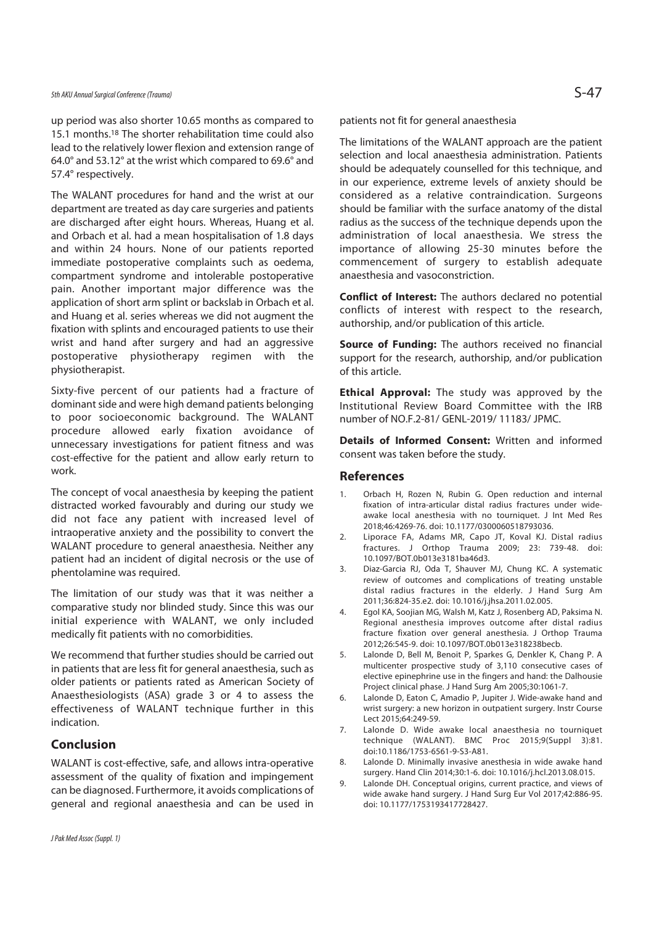up period was also shorter 10.65 months as compared to 15.1 months.18 The shorter rehabilitation time could also lead to the relatively lower flexion and extension range of 64.0° and 53.12° at the wrist which compared to 69.6° and 57.4° respectively.

The WALANT procedures for hand and the wrist at our department are treated as day care surgeries and patients are discharged after eight hours. Whereas, Huang et al. and Orbach et al. had a mean hospitalisation of 1.8 days and within 24 hours. None of our patients reported immediate postoperative complaints such as oedema, compartment syndrome and intolerable postoperative pain. Another important major difference was the application of short arm splint or backslab in Orbach et al. and Huang et al. series whereas we did not augment the fixation with splints and encouraged patients to use their wrist and hand after surgery and had an aggressive postoperative physiotherapy regimen with the physiotherapist.

Sixty-five percent of our patients had a fracture of dominant side and were high demand patients belonging to poor socioeconomic background. The WALANT procedure allowed early fixation avoidance of unnecessary investigations for patient fitness and was cost-effective for the patient and allow early return to work.

The concept of vocal anaesthesia by keeping the patient distracted worked favourably and during our study we did not face any patient with increased level of intraoperative anxiety and the possibility to convert the WALANT procedure to general anaesthesia. Neither any patient had an incident of digital necrosis or the use of phentolamine was required.

The limitation of our study was that it was neither a comparative study nor blinded study. Since this was our initial experience with WALANT, we only included medically fit patients with no comorbidities.

We recommend that further studies should be carried out in patients that are less fit for general anaesthesia, such as older patients or patients rated as American Society of Anaesthesiologists (ASA) grade 3 or 4 to assess the effectiveness of WALANT technique further in this indication.

### **Conclusion**

WALANT is cost-effective, safe, and allows intra-operative assessment of the quality of fixation and impingement can be diagnosed. Furthermore, it avoids complications of general and regional anaesthesia and can be used in

patients not fit for general anaesthesia

The limitations of the WALANT approach are the patient selection and local anaesthesia administration. Patients should be adequately counselled for this technique, and in our experience, extreme levels of anxiety should be considered as a relative contraindication. Surgeons should be familiar with the surface anatomy of the distal radius as the success of the technique depends upon the administration of local anaesthesia. We stress the importance of allowing 25-30 minutes before the commencement of surgery to establish adequate anaesthesia and vasoconstriction.

**Conflict of Interest:** The authors declared no potential conflicts of interest with respect to the research, authorship, and/or publication of this article.

**Source of Funding:** The authors received no financial support for the research, authorship, and/or publication of this article.

**Ethical Approval:** The study was approved by the Institutional Review Board Committee with the IRB number of NO.F.2-81/ GENL-2019/ 11183/ JPMC.

**Details of Informed Consent:** Written and informed consent was taken before the study.

#### **References**

- 1. Orbach H, Rozen N, Rubin G. Open reduction and internal fixation of intra-articular distal radius fractures under wideawake local anesthesia with no tourniquet. J Int Med Res 2018;46:4269-76. doi: 10.1177/0300060518793036.
- 2. Liporace FA, Adams MR, Capo JT, Koval KJ. Distal radius fractures. J Orthop Trauma 2009; 23: 739-48. doi: 10.1097/BOT.0b013e3181ba46d3.
- 3. Diaz-Garcia RJ, Oda T, Shauver MJ, Chung KC. A systematic review of outcomes and complications of treating unstable distal radius fractures in the elderly. J Hand Surg Am 2011;36:824-35.e2. doi: 10.1016/j.jhsa.2011.02.005.
- 4. Egol KA, Soojian MG, Walsh M, Katz J, Rosenberg AD, Paksima N. Regional anesthesia improves outcome after distal radius fracture fixation over general anesthesia. J Orthop Trauma 2012;26:545-9. doi: 10.1097/BOT.0b013e318238becb.
- 5. Lalonde D, Bell M, Benoit P, Sparkes G, Denkler K, Chang P. A multicenter prospective study of 3,110 consecutive cases of elective epinephrine use in the fingers and hand: the Dalhousie Project clinical phase. J Hand Surg Am 2005;30:1061-7.
- 6. Lalonde D, Eaton C, Amadio P, Jupiter J. Wide-awake hand and wrist surgery: a new horizon in outpatient surgery. Instr Course Lect 2015;64:249-59.
- 7. Lalonde D. Wide awake local anaesthesia no tourniquet technique (WALANT). BMC Proc 2015;9(Suppl 3):81. doi:10.1186/1753-6561-9-S3-A81.
- 8. Lalonde D. Minimally invasive anesthesia in wide awake hand surgery. Hand Clin 2014;30:1-6. doi: 10.1016/j.hcl.2013.08.015.
- 9. Lalonde DH. Conceptual origins, current practice, and views of wide awake hand surgery. J Hand Surg Eur Vol 2017;42:886-95. doi: 10.1177/1753193417728427.